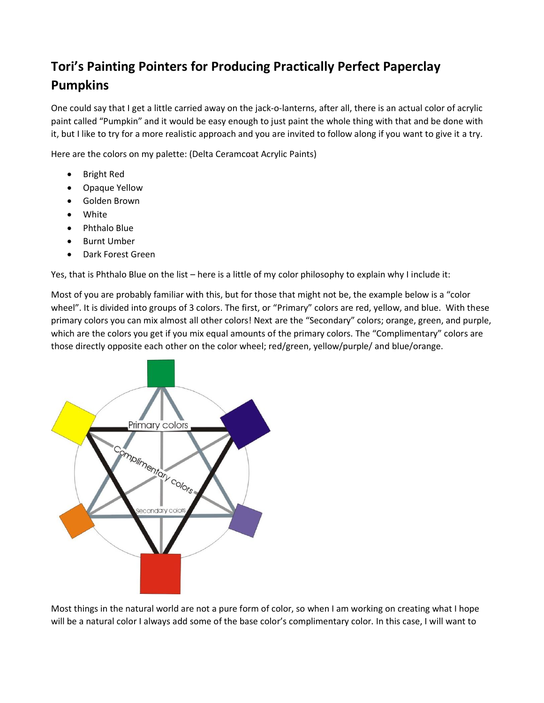## **Tori's Painting Pointers for Producing Practically Perfect Paperclay Pumpkins**

One could say that I get a little carried away on the jack-o-lanterns, after all, there is an actual color of acrylic paint called "Pumpkin" and it would be easy enough to just paint the whole thing with that and be done with it, but I like to try for a more realistic approach and you are invited to follow along if you want to give it a try.

Here are the colors on my palette: (Delta Ceramcoat Acrylic Paints)

- Bright Red
- Opaque Yellow
- Golden Brown
- White
- Phthalo Blue
- Burnt Umber
- Dark Forest Green

Yes, that is Phthalo Blue on the list – here is a little of my color philosophy to explain why I include it:

Most of you are probably familiar with this, but for those that might not be, the example below is a "color wheel". It is divided into groups of 3 colors. The first, or "Primary" colors are red, yellow, and blue. With these primary colors you can mix almost all other colors! Next are the "Secondary" colors; orange, green, and purple, which are the colors you get if you mix equal amounts of the primary colors. The "Complimentary" colors are those directly opposite each other on the color wheel; red/green, yellow/purple/ and blue/orange.



Most things in the natural world are not a pure form of color, so when I am working on creating what I hope will be a natural color I always add some of the base color's complimentary color. In this case, I will want to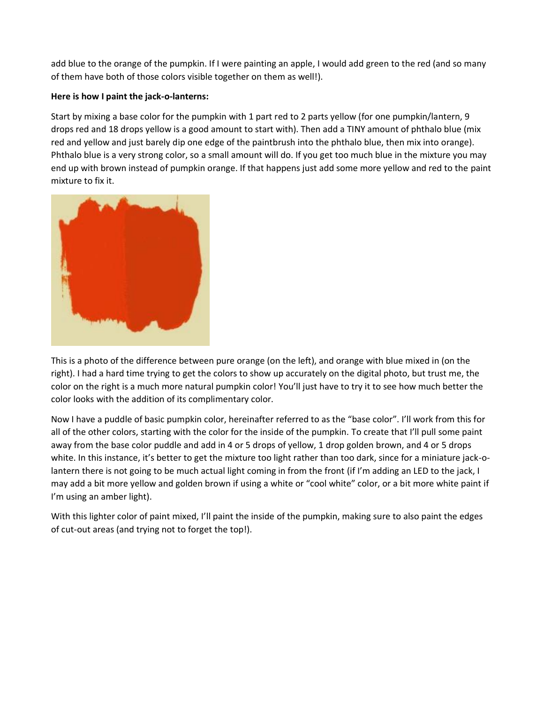add blue to the orange of the pumpkin. If I were painting an apple, I would add green to the red (and so many of them have both of those colors visible together on them as well!).

## **Here is how I paint the jack-o-lanterns:**

Start by mixing a base color for the pumpkin with 1 part red to 2 parts yellow (for one pumpkin/lantern, 9 drops red and 18 drops yellow is a good amount to start with). Then add a TINY amount of phthalo blue (mix red and yellow and just barely dip one edge of the paintbrush into the phthalo blue, then mix into orange). Phthalo blue is a very strong color, so a small amount will do. If you get too much blue in the mixture you may end up with brown instead of pumpkin orange. If that happens just add some more yellow and red to the paint mixture to fix it.



This is a photo of the difference between pure orange (on the left), and orange with blue mixed in (on the right). I had a hard time trying to get the colors to show up accurately on the digital photo, but trust me, the color on the right is a much more natural pumpkin color! You'll just have to try it to see how much better the color looks with the addition of its complimentary color.

Now I have a puddle of basic pumpkin color, hereinafter referred to as the "base color". I'll work from this for all of the other colors, starting with the color for the inside of the pumpkin. To create that I'll pull some paint away from the base color puddle and add in 4 or 5 drops of yellow, 1 drop golden brown, and 4 or 5 drops white. In this instance, it's better to get the mixture too light rather than too dark, since for a miniature jack-olantern there is not going to be much actual light coming in from the front (if I'm adding an LED to the jack, I may add a bit more yellow and golden brown if using a white or "cool white" color, or a bit more white paint if I'm using an amber light).

With this lighter color of paint mixed, I'll paint the inside of the pumpkin, making sure to also paint the edges of cut-out areas (and trying not to forget the top!).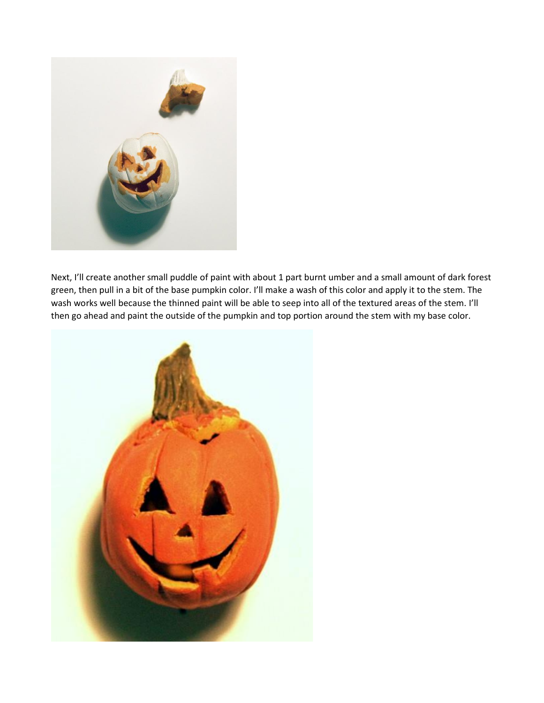

Next, I'll create another small puddle of paint with about 1 part burnt umber and a small amount of dark forest green, then pull in a bit of the base pumpkin color. I'll make a wash of this color and apply it to the stem. The wash works well because the thinned paint will be able to seep into all of the textured areas of the stem. I'll then go ahead and paint the outside of the pumpkin and top portion around the stem with my base color.

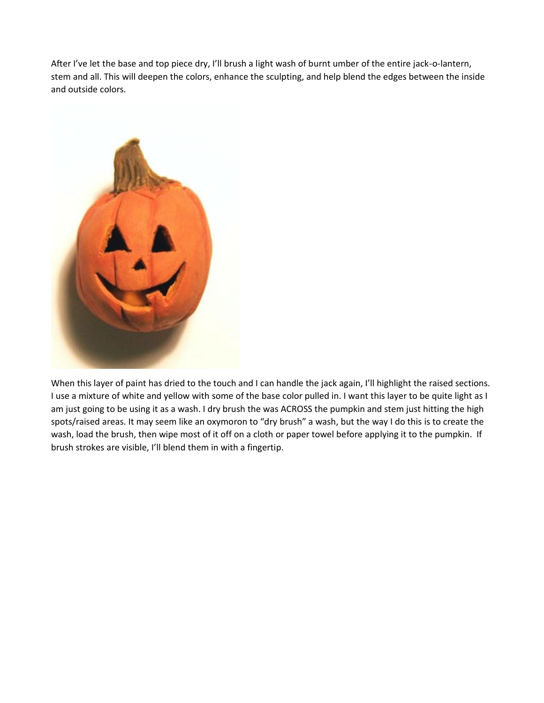After I've let the base and top piece dry, I'll brush a light wash of burnt umber of the entire jack-o-lantern, stem and all. This will deepen the colors, enhance the sculpting, and help blend the edges between the inside and outside colors.



When this layer of paint has dried to the touch and I can handle the jack again, I'll highlight the raised sections. I use a mixture of white and yellow with some of the base color pulled in. I want this layer to be quite light as I am just going to be using it as a wash. I dry brush the was ACROSS the pumpkin and stem just hitting the high spots/raised areas. It may seem like an oxymoron to "dry brush" a wash, but the way I do this is to create the wash, load the brush, then wipe most of it off on a cloth or paper towel before applying it to the pumpkin. If brush strokes are visible, I'll blend them in with a fingertip.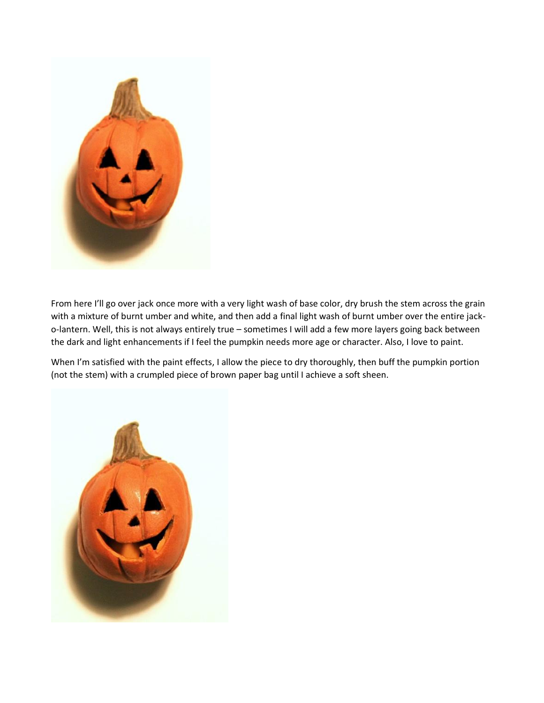

From here I'll go over jack once more with a very light wash of base color, dry brush the stem across the grain with a mixture of burnt umber and white, and then add a final light wash of burnt umber over the entire jacko-lantern. Well, this is not always entirely true – sometimes I will add a few more layers going back between the dark and light enhancements if I feel the pumpkin needs more age or character. Also, I love to paint.

When I'm satisfied with the paint effects, I allow the piece to dry thoroughly, then buff the pumpkin portion (not the stem) with a crumpled piece of brown paper bag until I achieve a soft sheen.

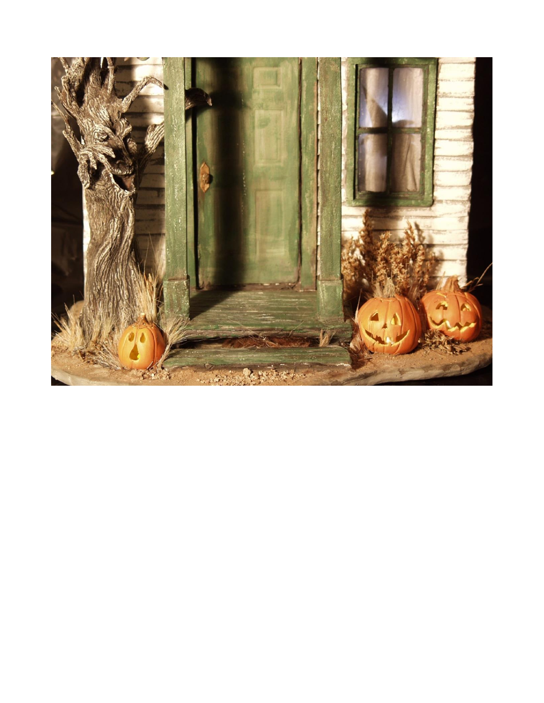